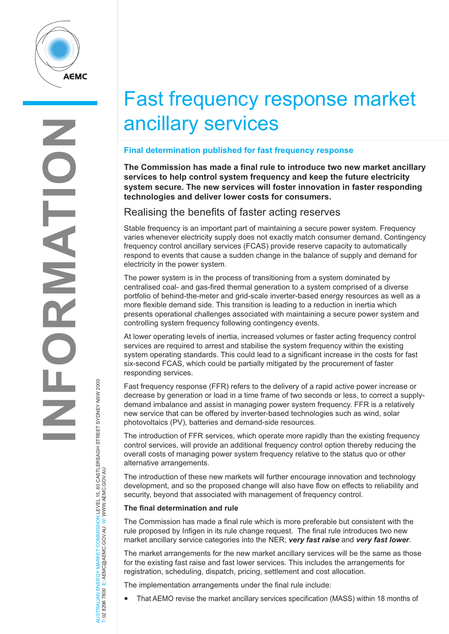

# Fast frequency response market ancillary services

# **Final determination published for fast frequency response**

**The Commission has made a final rule to introduce two new market ancillary services to help control system frequency and keep the future electricity system secure. The new services will foster innovation in faster responding technologies and deliver lower costs for consumers.**

# Realising the benefits of faster acting reserves

Stable frequency is an important part of maintaining a secure power system. Frequency varies whenever electricity supply does not exactly match consumer demand. Contingency frequency control ancillary services (FCAS) provide reserve capacity to automatically respond to events that cause a sudden change in the balance of supply and demand for electricity in the power system.

The power system is in the process of transitioning from a system dominated by centralised coal- and gas-fired thermal generation to a system comprised of a diverse portfolio of behind-the-meter and grid-scale inverter-based energy resources as well as a more flexible demand side. This transition is leading to a reduction in inertia which presents operational challenges associated with maintaining a secure power system and controlling system frequency following contingency events.

At lower operating levels of inertia, increased volumes or faster acting frequency control services are required to arrest and stabilise the system frequency within the existing system operating standards. This could lead to a significant increase in the costs for fast six-second FCAS, which could be partially mitigated by the procurement of faster responding services.

Fast frequency response (FFR) refers to the delivery of a rapid active power increase or decrease by generation or load in a time frame of two seconds or less, to correct a supplydemand imbalance and assist in managing power system frequency. FFR is a relatively new service that can be offered by inverter-based technologies such as wind, solar photovoltaics (PV), batteries and demand-side resources.

The introduction of FFR services, which operate more rapidly than the existing frequency control services, will provide an additional frequency control option thereby reducing the overall costs of managing power system frequency relative to the status quo or other alternative arrangements.

The introduction of these new markets will further encourage innovation and technology development, and so the proposed change will also have flow on effects to reliability and security, beyond that associated with management of frequency control.

## **The final determination and rule**

The Commission has made a final rule which is more preferable but consistent with the rule proposed by Infigen in its rule change request. The final rule introduces two new market ancillary service categories into the NER; *very fast raise* and *very fast lower*.

The market arrangements for the new market ancillary services will be the same as those for the existing fast raise and fast lower services. This includes the arrangements for registration, scheduling, dispatch, pricing, settlement and cost allocation.

The implementation arrangements under the final rule include:

• That AEMO revise the market ancillary services specification (MASS) within 18 months of

NERGY MARKET COMMISSION LEVEL 15, 60 CASTLEREAGH STREET SYDNEY NSW 2000<br>E: AEMC@AEMC.GOV.AU W: WWW.AEMC.GOV.AU AUSTRALIAN ENERGY MARKET COMMISSION LEVEL 15, 60 CASTLEREAGH STREET SYDNEY NSW 2000 T: 02 8296 7800 E: AEMC@AEMC.GOV.AU W: WWW.AEMC.GOV.AU AUSTRALIAN ENERGY MARKET T: 02 8296 7800